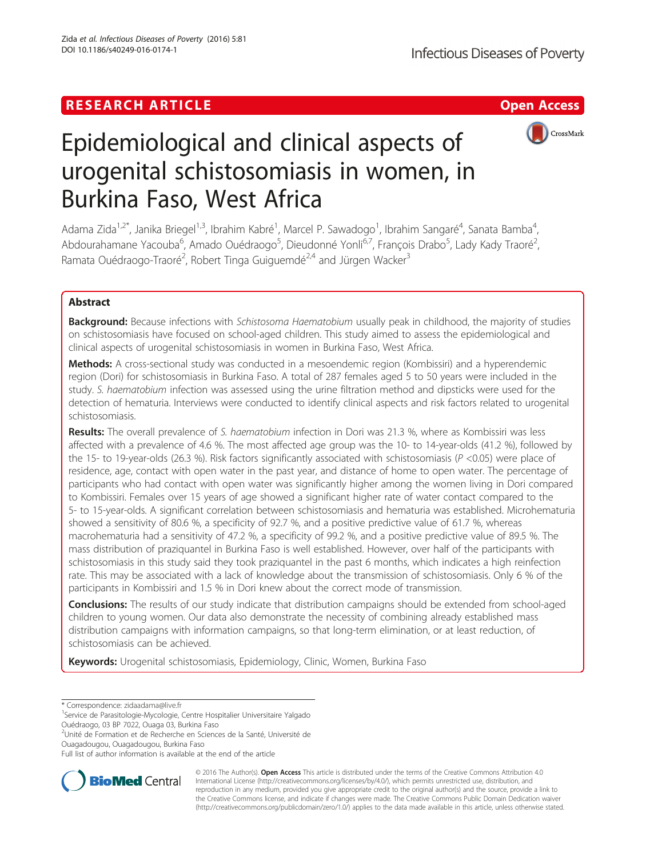## **RESEARCH ARTICLE Example 2018 12:30 The Contract of Contract ACCESS**



# Epidemiological and clinical aspects of urogenital schistosomiasis in women, in Burkina Faso, West Africa

Adama Zida<sup>1,2\*</sup>, Janika Briegel<sup>1,3</sup>, Ibrahim Kabré<sup>1</sup>, Marcel P. Sawadogo<sup>1</sup>, Ibrahim Sangaré<sup>4</sup>, Sanata Bamba<sup>4</sup> , Abdourahamane Yacouba<sup>6</sup>, Amado Ouédraogo<sup>5</sup>, Dieudonné Yonli<sup>6,7</sup>, François Drabo<sup>5</sup>, Lady Kady Traoré<sup>2</sup> , Ramata Ouédraogo-Traoré<sup>2</sup>, Robert Tinga Guiguemdé<sup>2,4</sup> and Jürgen Wacker<sup>3</sup>

## Abstract

**Background:** Because infections with Schistosoma Haematobium usually peak in childhood, the majority of studies on schistosomiasis have focused on school-aged children. This study aimed to assess the epidemiological and clinical aspects of urogenital schistosomiasis in women in Burkina Faso, West Africa.

Methods: A cross-sectional study was conducted in a mesoendemic region (Kombissiri) and a hyperendemic region (Dori) for schistosomiasis in Burkina Faso. A total of 287 females aged 5 to 50 years were included in the study. S. haematobium infection was assessed using the urine filtration method and dipsticks were used for the detection of hematuria. Interviews were conducted to identify clinical aspects and risk factors related to urogenital schistosomiasis.

Results: The overall prevalence of S. haematobium infection in Dori was 21.3 %, where as Kombissiri was less affected with a prevalence of 4.6 %. The most affected age group was the 10- to 14-year-olds (41.2 %), followed by the 15- to 19-year-olds (26.3 %). Risk factors significantly associated with schistosomiasis ( $P$  <0.05) were place of residence, age, contact with open water in the past year, and distance of home to open water. The percentage of participants who had contact with open water was significantly higher among the women living in Dori compared to Kombissiri. Females over 15 years of age showed a significant higher rate of water contact compared to the 5- to 15-year-olds. A significant correlation between schistosomiasis and hematuria was established. Microhematuria showed a sensitivity of 80.6 %, a specificity of 92.7 %, and a positive predictive value of 61.7 %, whereas macrohematuria had a sensitivity of 47.2 %, a specificity of 99.2 %, and a positive predictive value of 89.5 %. The mass distribution of praziquantel in Burkina Faso is well established. However, over half of the participants with schistosomiasis in this study said they took praziquantel in the past 6 months, which indicates a high reinfection rate. This may be associated with a lack of knowledge about the transmission of schistosomiasis. Only 6 % of the participants in Kombissiri and 1.5 % in Dori knew about the correct mode of transmission.

Conclusions: The results of our study indicate that distribution campaigns should be extended from school-aged children to young women. Our data also demonstrate the necessity of combining already established mass distribution campaigns with information campaigns, so that long-term elimination, or at least reduction, of schistosomiasis can be achieved.

Keywords: Urogenital schistosomiasis, Epidemiology, Clinic, Women, Burkina Faso

\* Correspondence: [zidaadama@live.fr](mailto:zidaadama@live.fr) <sup>1</sup>

<sup>1</sup>Service de Parasitologie-Mycologie, Centre Hospitalier Universitaire Yalgado Ouédraogo, 03 BP 7022, Ouaga 03, Burkina Faso

2 Unité de Formation et de Recherche en Sciences de la Santé, Université de Ouagadougou, Ouagadougou, Burkina Faso

Full list of author information is available at the end of the article



© 2016 The Author(s). Open Access This article is distributed under the terms of the Creative Commons Attribution 4.0 International License [\(http://creativecommons.org/licenses/by/4.0/](http://creativecommons.org/licenses/by/4.0/)), which permits unrestricted use, distribution, and reproduction in any medium, provided you give appropriate credit to the original author(s) and the source, provide a link to the Creative Commons license, and indicate if changes were made. The Creative Commons Public Domain Dedication waiver [\(http://creativecommons.org/publicdomain/zero/1.0/](http://creativecommons.org/publicdomain/zero/1.0/)) applies to the data made available in this article, unless otherwise stated.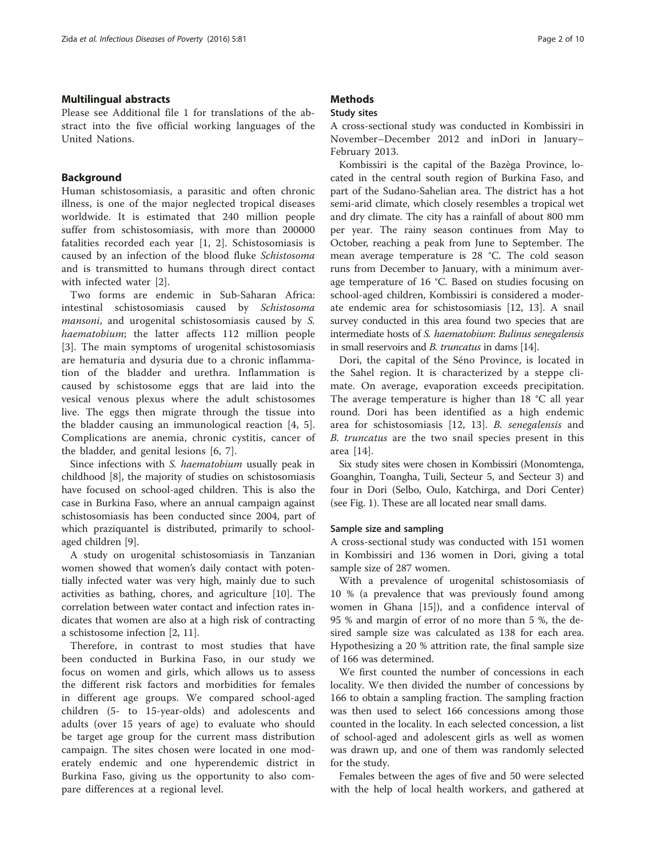#### Multilingual abstracts

Please see Additional file [1](#page-8-0) for translations of the abstract into the five official working languages of the United Nations.

### Background

Human schistosomiasis, a parasitic and often chronic illness, is one of the major neglected tropical diseases worldwide. It is estimated that 240 million people suffer from schistosomiasis, with more than 200000 fatalities recorded each year [[1](#page-8-0), [2](#page-8-0)]. Schistosomiasis is caused by an infection of the blood fluke Schistosoma and is transmitted to humans through direct contact with infected water [\[2](#page-8-0)].

Two forms are endemic in Sub-Saharan Africa: intestinal schistosomiasis caused by Schistosoma mansoni, and urogenital schistosomiasis caused by S. haematobium; the latter affects 112 million people [[3\]](#page-8-0). The main symptoms of urogenital schistosomiasis are hematuria and dysuria due to a chronic inflammation of the bladder and urethra. Inflammation is caused by schistosome eggs that are laid into the vesical venous plexus where the adult schistosomes live. The eggs then migrate through the tissue into the bladder causing an immunological reaction [\[4](#page-8-0), [5](#page-8-0)]. Complications are anemia, chronic cystitis, cancer of the bladder, and genital lesions [[6, 7\]](#page-8-0).

Since infections with S. haematobium usually peak in childhood [\[8\]](#page-8-0), the majority of studies on schistosomiasis have focused on school-aged children. This is also the case in Burkina Faso, where an annual campaign against schistosomiasis has been conducted since 2004, part of which praziquantel is distributed, primarily to schoolaged children [[9\]](#page-8-0).

A study on urogenital schistosomiasis in Tanzanian women showed that women's daily contact with potentially infected water was very high, mainly due to such activities as bathing, chores, and agriculture [\[10](#page-8-0)]. The correlation between water contact and infection rates indicates that women are also at a high risk of contracting a schistosome infection [[2, 11\]](#page-8-0).

Therefore, in contrast to most studies that have been conducted in Burkina Faso, in our study we focus on women and girls, which allows us to assess the different risk factors and morbidities for females in different age groups. We compared school-aged children (5- to 15-year-olds) and adolescents and adults (over 15 years of age) to evaluate who should be target age group for the current mass distribution campaign. The sites chosen were located in one moderately endemic and one hyperendemic district in Burkina Faso, giving us the opportunity to also compare differences at a regional level.

## **Methods**

#### Study sites

A cross-sectional study was conducted in Kombissiri in November–December 2012 and inDori in January– February 2013.

Kombissiri is the capital of the Bazèga Province, located in the central south region of Burkina Faso, and part of the Sudano-Sahelian area. The district has a hot semi-arid climate, which closely resembles a tropical wet and dry climate. The city has a rainfall of about 800 mm per year. The rainy season continues from May to October, reaching a peak from June to September. The mean average temperature is 28 °C. The cold season runs from December to January, with a minimum average temperature of 16 °C. Based on studies focusing on school-aged children, Kombissiri is considered a moderate endemic area for schistosomiasis [[12](#page-8-0), [13](#page-8-0)]. A snail survey conducted in this area found two species that are intermediate hosts of S. haematobium: Bulinus senegalensis in small reservoirs and B. truncatus in dams [[14](#page-8-0)].

Dori, the capital of the Séno Province, is located in the Sahel region. It is characterized by a steppe climate. On average, evaporation exceeds precipitation. The average temperature is higher than 18 °C all year round. Dori has been identified as a high endemic area for schistosomiasis [[12, 13](#page-8-0)]. B. senegalensis and B. truncatus are the two snail species present in this area [\[14](#page-8-0)].

Six study sites were chosen in Kombissiri (Monomtenga, Goanghin, Toangha, Tuili, Secteur 5, and Secteur 3) and four in Dori (Selbo, Oulo, Katchirga, and Dori Center) (see Fig. [1](#page-2-0)). These are all located near small dams.

#### Sample size and sampling

A cross-sectional study was conducted with 151 women in Kombissiri and 136 women in Dori, giving a total sample size of 287 women.

With a prevalence of urogenital schistosomiasis of 10 % (a prevalence that was previously found among women in Ghana [[15](#page-8-0)]), and a confidence interval of 95 % and margin of error of no more than 5 %, the desired sample size was calculated as 138 for each area. Hypothesizing a 20 % attrition rate, the final sample size of 166 was determined.

We first counted the number of concessions in each locality. We then divided the number of concessions by 166 to obtain a sampling fraction. The sampling fraction was then used to select 166 concessions among those counted in the locality. In each selected concession, a list of school-aged and adolescent girls as well as women was drawn up, and one of them was randomly selected for the study.

Females between the ages of five and 50 were selected with the help of local health workers, and gathered at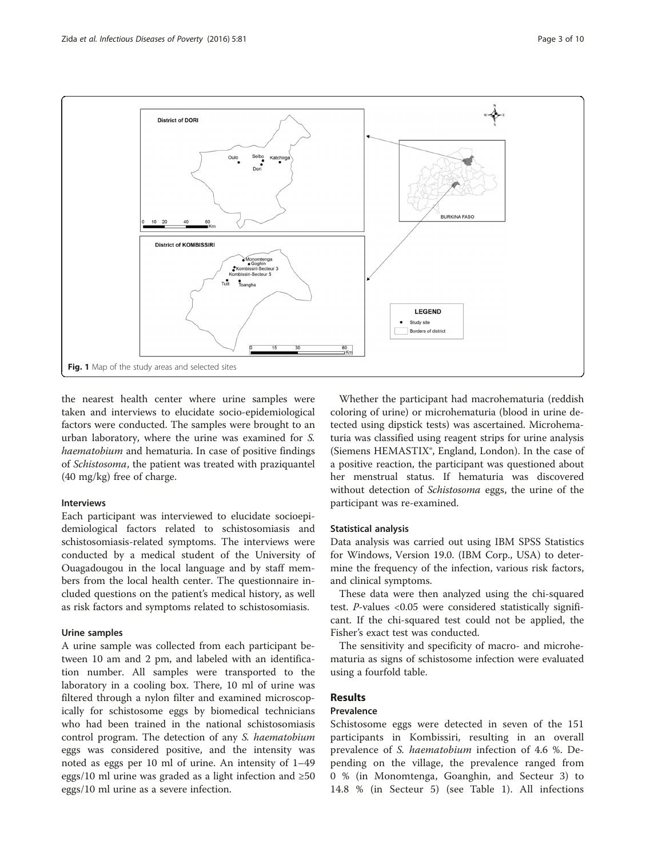<span id="page-2-0"></span>

the nearest health center where urine samples were taken and interviews to elucidate socio-epidemiological factors were conducted. The samples were brought to an urban laboratory, where the urine was examined for S. haematobium and hematuria. In case of positive findings of Schistosoma, the patient was treated with praziquantel (40 mg/kg) free of charge.

#### Interviews

Each participant was interviewed to elucidate socioepidemiological factors related to schistosomiasis and schistosomiasis-related symptoms. The interviews were conducted by a medical student of the University of Ouagadougou in the local language and by staff members from the local health center. The questionnaire included questions on the patient's medical history, as well as risk factors and symptoms related to schistosomiasis.

#### Urine samples

A urine sample was collected from each participant between 10 am and 2 pm, and labeled with an identification number. All samples were transported to the laboratory in a cooling box. There, 10 ml of urine was filtered through a nylon filter and examined microscopically for schistosome eggs by biomedical technicians who had been trained in the national schistosomiasis control program. The detection of any S. haematobium eggs was considered positive, and the intensity was noted as eggs per 10 ml of urine. An intensity of 1–49 eggs/10 ml urine was graded as a light infection and  $\geq 50$ eggs/10 ml urine as a severe infection.

Whether the participant had macrohematuria (reddish coloring of urine) or microhematuria (blood in urine detected using dipstick tests) was ascertained. Microhematuria was classified using reagent strips for urine analysis (Siemens HEMASTIX®, England, London). In the case of a positive reaction, the participant was questioned about her menstrual status. If hematuria was discovered without detection of Schistosoma eggs, the urine of the participant was re-examined.

#### Statistical analysis

Data analysis was carried out using IBM SPSS Statistics for Windows, Version 19.0. (IBM Corp., USA) to determine the frequency of the infection, various risk factors, and clinical symptoms.

These data were then analyzed using the chi-squared test. P-values <0.05 were considered statistically significant. If the chi-squared test could not be applied, the Fisher's exact test was conducted.

The sensitivity and specificity of macro- and microhematuria as signs of schistosome infection were evaluated using a fourfold table.

## Results

#### Prevalence

Schistosome eggs were detected in seven of the 151 participants in Kombissiri, resulting in an overall prevalence of S. haematobium infection of 4.6 %. Depending on the village, the prevalence ranged from 0 % (in Monomtenga, Goanghin, and Secteur 3) to 14.8 % (in Secteur 5) (see Table [1](#page-3-0)). All infections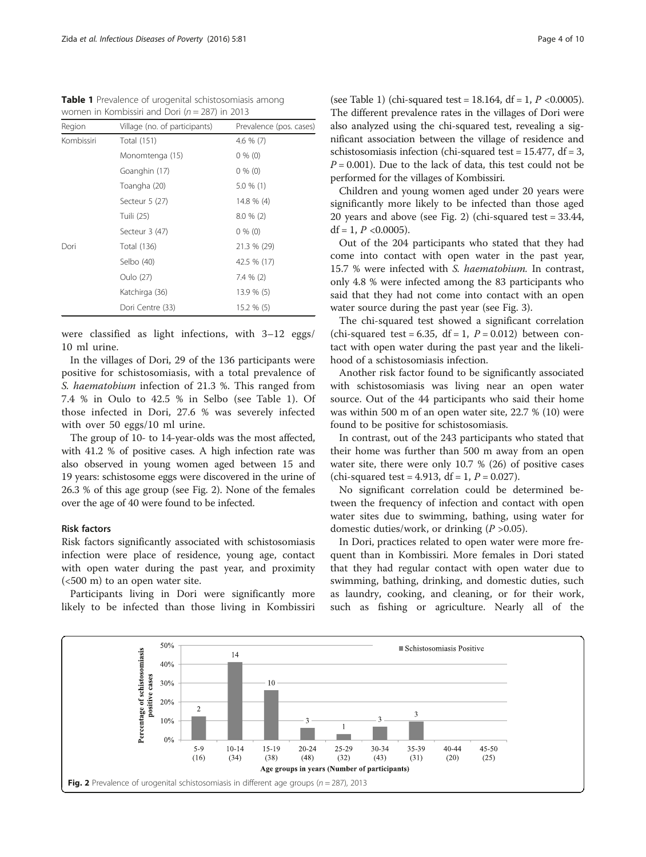<span id="page-3-0"></span>Table 1 Prevalence of urogenital schistosomiasis among women in Kombissiri and Dori ( $n = 287$ ) in 2013

| Region     | Village (no. of participants) | Prevalence (pos. cases) |
|------------|-------------------------------|-------------------------|
| Kombissiri | <b>Total (151)</b>            | 4.6 $% (7)$             |
|            | Monomtenga (15)               | $0\%$ (0)               |
|            | Goanghin (17)                 | $0\%$ (0)               |
|            | Toangha (20)                  | $5.0 \%$ (1)            |
|            | Secteur 5 (27)                | 14.8 % (4)              |
|            | Tuili (25)                    | $8.0 \%$ (2)            |
|            | Secteur 3 (47)                | $0\%$ (0)               |
| Dori       | Total (136)                   | 21.3 % (29)             |
|            | Selbo (40)                    | 42.5 % (17)             |
|            | Oulo (27)                     | $7.4 \% (2)$            |
|            | Katchirga (36)                | 13.9 % (5)              |
|            | Dori Centre (33)              | 15.2 % (5)              |

were classified as light infections, with 3–12 eggs/ 10 ml urine.

In the villages of Dori, 29 of the 136 participants were positive for schistosomiasis, with a total prevalence of S. haematobium infection of 21.3 %. This ranged from 7.4 % in Oulo to 42.5 % in Selbo (see Table 1). Of those infected in Dori, 27.6 % was severely infected with over 50 eggs/10 ml urine.

The group of 10- to 14-year-olds was the most affected, with 41.2 % of positive cases. A high infection rate was also observed in young women aged between 15 and 19 years: schistosome eggs were discovered in the urine of 26.3 % of this age group (see Fig. 2). None of the females over the age of 40 were found to be infected.

#### Risk factors

Risk factors significantly associated with schistosomiasis infection were place of residence, young age, contact with open water during the past year, and proximity (<500 m) to an open water site.

Participants living in Dori were significantly more likely to be infected than those living in Kombissiri

(see Table 1) (chi-squared test =  $18.164$ , df =  $1, P$  < 0.0005). The different prevalence rates in the villages of Dori were also analyzed using the chi-squared test, revealing a significant association between the village of residence and schistosomiasis infection (chi-squared test =  $15.477$ , df = 3,  $P = 0.001$ ). Due to the lack of data, this test could not be performed for the villages of Kombissiri.

Children and young women aged under 20 years were significantly more likely to be infected than those aged 20 years and above (see Fig. 2) (chi-squared test = 33.44, df = 1,  $P$  < 0.0005).

Out of the 204 participants who stated that they had come into contact with open water in the past year, 15.7 % were infected with S. haematobium. In contrast, only 4.8 % were infected among the 83 participants who said that they had not come into contact with an open water source during the past year (see Fig. [3\)](#page-4-0).

The chi-squared test showed a significant correlation (chi-squared test =  $6.35$ , df = 1,  $P = 0.012$ ) between contact with open water during the past year and the likelihood of a schistosomiasis infection.

Another risk factor found to be significantly associated with schistosomiasis was living near an open water source. Out of the 44 participants who said their home was within 500 m of an open water site, 22.7 % (10) were found to be positive for schistosomiasis.

In contrast, out of the 243 participants who stated that their home was further than 500 m away from an open water site, there were only 10.7 % (26) of positive cases (chi-squared test = 4.913, df = 1,  $P = 0.027$ ).

No significant correlation could be determined between the frequency of infection and contact with open water sites due to swimming, bathing, using water for domestic duties/work, or drinking  $(P > 0.05)$ .

In Dori, practices related to open water were more frequent than in Kombissiri. More females in Dori stated that they had regular contact with open water due to swimming, bathing, drinking, and domestic duties, such as laundry, cooking, and cleaning, or for their work, such as fishing or agriculture. Nearly all of the

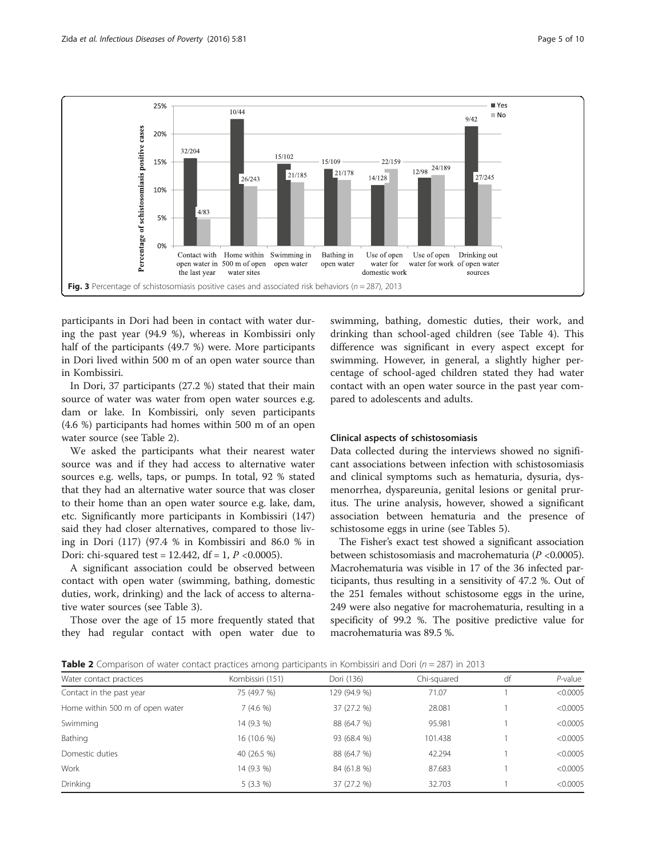<span id="page-4-0"></span>

participants in Dori had been in contact with water during the past year (94.9 %), whereas in Kombissiri only half of the participants (49.7 %) were. More participants in Dori lived within 500 m of an open water source than in Kombissiri.

In Dori, 37 participants (27.2 %) stated that their main source of water was water from open water sources e.g. dam or lake. In Kombissiri, only seven participants (4.6 %) participants had homes within 500 m of an open water source (see Table 2).

We asked the participants what their nearest water source was and if they had access to alternative water sources e.g. wells, taps, or pumps. In total, 92 % stated that they had an alternative water source that was closer to their home than an open water source e.g. lake, dam, etc. Significantly more participants in Kombissiri (147) said they had closer alternatives, compared to those living in Dori (117) (97.4 % in Kombissiri and 86.0 % in Dori: chi-squared test =  $12.442$ , df =  $1, P < 0.0005$ ).

A significant association could be observed between contact with open water (swimming, bathing, domestic duties, work, drinking) and the lack of access to alternative water sources (see Table [3](#page-5-0)).

Those over the age of 15 more frequently stated that they had regular contact with open water due to swimming, bathing, domestic duties, their work, and drinking than school-aged children (see Table [4](#page-5-0)). This difference was significant in every aspect except for swimming. However, in general, a slightly higher percentage of school-aged children stated they had water contact with an open water source in the past year compared to adolescents and adults.

#### Clinical aspects of schistosomiasis

Data collected during the interviews showed no significant associations between infection with schistosomiasis and clinical symptoms such as hematuria, dysuria, dysmenorrhea, dyspareunia, genital lesions or genital pruritus. The urine analysis, however, showed a significant association between hematuria and the presence of schistosome eggs in urine (see Tables [5\)](#page-6-0).

The Fisher's exact test showed a significant association between schistosomiasis and macrohematuria (P <0.0005). Macrohematuria was visible in 17 of the 36 infected participants, thus resulting in a sensitivity of 47.2 %. Out of the 251 females without schistosome eggs in the urine, 249 were also negative for macrohematuria, resulting in a specificity of 99.2 %. The positive predictive value for macrohematuria was 89.5 %.

**Table 2** Comparison of water contact practices among participants in Kombissiri and Dori ( $n = 287$ ) in 2013

| Water contact practices         | Kombissiri (151) | Dori (136)   | Chi-squared | df | $P$ -value |
|---------------------------------|------------------|--------------|-------------|----|------------|
| Contact in the past year        | 75 (49.7 %)      | 129 (94.9 %) | 71.07       |    | < 0.0005   |
| Home within 500 m of open water | 7(4.6%           | 37 (27.2 %)  | 28.081      |    | < 0.0005   |
| Swimming                        | 14 (9.3 %)       | 88 (64.7 %)  | 95.981      |    | < 0.0005   |
| Bathing                         | 16 (10.6 %)      | 93 (68.4 %)  | 101.438     |    | < 0.0005   |
| Domestic duties                 | 40 (26.5 %)      | 88 (64.7 %)  | 42.294      |    | < 0.0005   |
| Work                            | 14 (9.3 %)       | 84 (61.8 %)  | 87.683      |    | < 0.0005   |
| Drinking                        | $5(3.3\%)$       | 37 (27.2 %)  | 32.703      |    | < 0.0005   |
|                                 |                  |              |             |    |            |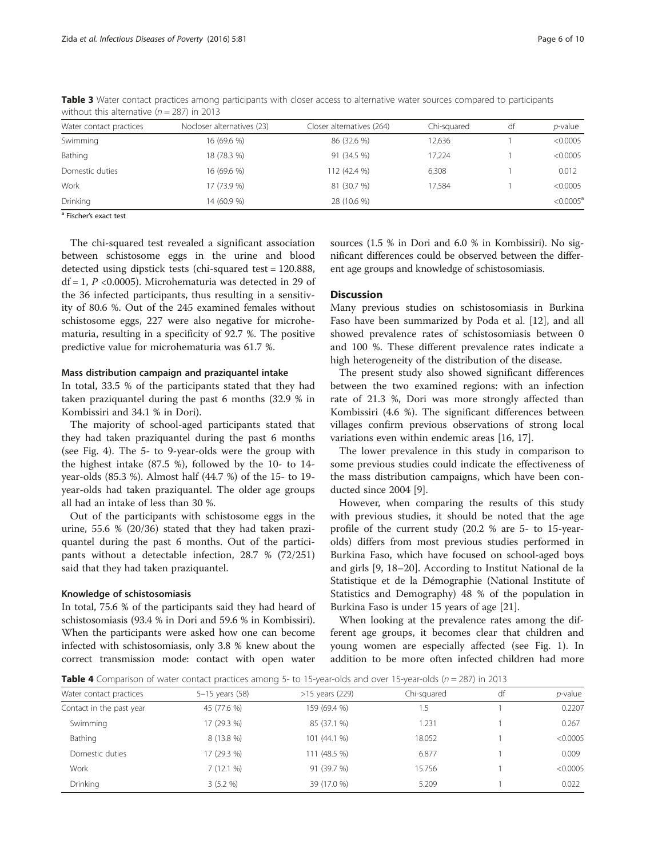| Water contact practices                       | Nocloser alternatives (23) | Closer alternatives (264) | Chi-sauared | df | $p$ -value   |
|-----------------------------------------------|----------------------------|---------------------------|-------------|----|--------------|
| Swimming                                      | 16 (69.6 %)                | 86 (32.6 %)               | 12,636      |    | < 0.0005     |
| Bathing                                       | 18 (78.3 %)                | 91 (34.5 %)               | 17.224      |    | < 0.0005     |
| Domestic duties                               | 16 (69.6 %)                | 112 (42.4 %)              | 6,308       |    | 0.012        |
| Work                                          | 17 (73.9 %)                | 81 (30.7 %)               | 17.584      |    | < 0.0005     |
| Drinking                                      | 14 (60.9 %)                | 28 (10.6 %)               |             |    | $< 0.0005^a$ |
| $\lambda$ matrix to the contract of the state |                            |                           |             |    |              |

<span id="page-5-0"></span>Table 3 Water contact practices among participants with closer access to alternative water sources compared to participants without this alternative ( $n = 287$ ) in 2013

Fischer's exact test

The chi-squared test revealed a significant association between schistosome eggs in the urine and blood detected using dipstick tests (chi-squared test = 120.888, df = 1,  $P$  <0.0005). Microhematuria was detected in 29 of the 36 infected participants, thus resulting in a sensitivity of 80.6 %. Out of the 245 examined females without schistosome eggs, 227 were also negative for microhematuria, resulting in a specificity of 92.7 %. The positive predictive value for microhematuria was 61.7 %.

#### Mass distribution campaign and praziquantel intake

In total, 33.5 % of the participants stated that they had taken praziquantel during the past 6 months (32.9 % in Kombissiri and 34.1 % in Dori).

The majority of school-aged participants stated that they had taken praziquantel during the past 6 months (see Fig. [4](#page-6-0)). The 5- to 9-year-olds were the group with the highest intake (87.5 %), followed by the 10- to 14 year-olds (85.3 %). Almost half (44.7 %) of the 15- to 19 year-olds had taken praziquantel. The older age groups all had an intake of less than 30 %.

Out of the participants with schistosome eggs in the urine, 55.6 % (20/36) stated that they had taken praziquantel during the past 6 months. Out of the participants without a detectable infection, 28.7 % (72/251) said that they had taken praziquantel.

#### Knowledge of schistosomiasis

In total, 75.6 % of the participants said they had heard of schistosomiasis (93.4 % in Dori and 59.6 % in Kombissiri). When the participants were asked how one can become infected with schistosomiasis, only 3.8 % knew about the correct transmission mode: contact with open water sources (1.5 % in Dori and 6.0 % in Kombissiri). No significant differences could be observed between the different age groups and knowledge of schistosomiasis.

#### **Discussion**

Many previous studies on schistosomiasis in Burkina Faso have been summarized by Poda et al. [\[12](#page-8-0)], and all showed prevalence rates of schistosomiasis between 0 and 100 %. These different prevalence rates indicate a high heterogeneity of the distribution of the disease.

The present study also showed significant differences between the two examined regions: with an infection rate of 21.3 %, Dori was more strongly affected than Kombissiri (4.6 %). The significant differences between villages confirm previous observations of strong local variations even within endemic areas [\[16, 17\]](#page-8-0).

The lower prevalence in this study in comparison to some previous studies could indicate the effectiveness of the mass distribution campaigns, which have been conducted since 2004 [[9\]](#page-8-0).

However, when comparing the results of this study with previous studies, it should be noted that the age profile of the current study (20.2 % are 5- to 15-yearolds) differs from most previous studies performed in Burkina Faso, which have focused on school-aged boys and girls [[9](#page-8-0), [18](#page-8-0)–[20](#page-8-0)]. According to Institut National de la Statistique et de la Démographie (National Institute of Statistics and Demography) 48 % of the population in Burkina Faso is under 15 years of age [\[21\]](#page-8-0).

When looking at the prevalence rates among the different age groups, it becomes clear that children and young women are especially affected (see Fig. [1\)](#page-2-0). In addition to be more often infected children had more

**Table 4** Comparison of water contact practices among 5- to 15-year-olds and over 15-year-olds ( $n = 287$ ) in 2013

| Water contact practices  | 5-15 years (58) | $>15$ years (229) | Chi-squared | df | $p$ -value |
|--------------------------|-----------------|-------------------|-------------|----|------------|
| Contact in the past year | 45 (77.6 %)     | 159 (69.4 %)      | 5.،         |    | 0.2207     |
| Swimming                 | 17 (29.3 %)     | 85 (37.1 %)       | 1.231       |    | 0.267      |
| Bathing                  | 8 (13.8 %)      | 101 (44.1 %)      | 18.052      |    | < 0.0005   |
| Domestic duties          | 17 (29.3 %)     | 111 (48.5 %)      | 6.877       |    | 0.009      |
| Work                     | 7(12.1%         | 91 (39.7 %)       | 15.756      |    | < 0.0005   |
| Drinking                 | 3(5.2%          | 39 (17.0 %)       | 5.209       |    | 0.022      |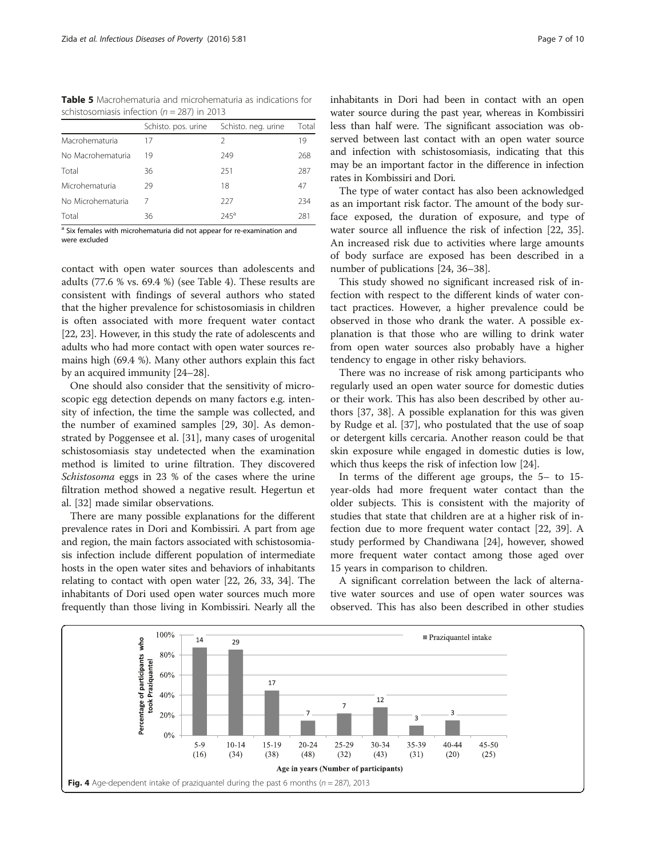<span id="page-6-0"></span>Table 5 Macrohematuria and microhematuria as indications for schistosomiasis infection ( $n = 287$ ) in 2013

|                   | Schisto, pos. urine | Schisto. neg. urine | Total |
|-------------------|---------------------|---------------------|-------|
| Macrohematuria    | 17                  | 2                   | 19    |
| No Macrohematuria | 19                  | 249                 | 268   |
| Total             | 36                  | 251                 | 287   |
| Microhematuria    | 29                  | 18                  | 47    |
| No Microhematuria |                     | 227                 | 234   |
| Total             | 36                  | $245^{\circ}$       | 281   |

<sup>a</sup> Six females with microhematuria did not appear for re-examination and were excluded

contact with open water sources than adolescents and adults (77.6 % vs. 69.4 %) (see Table [4](#page-5-0)). These results are consistent with findings of several authors who stated that the higher prevalence for schistosomiasis in children is often associated with more frequent water contact [[22](#page-8-0), [23\]](#page-8-0). However, in this study the rate of adolescents and adults who had more contact with open water sources remains high (69.4 %). Many other authors explain this fact by an acquired immunity [[24](#page-8-0)–[28\]](#page-8-0).

One should also consider that the sensitivity of microscopic egg detection depends on many factors e.g. intensity of infection, the time the sample was collected, and the number of examined samples [\[29, 30](#page-8-0)]. As demonstrated by Poggensee et al. [\[31\]](#page-8-0), many cases of urogenital schistosomiasis stay undetected when the examination method is limited to urine filtration. They discovered Schistosoma eggs in 23 % of the cases where the urine filtration method showed a negative result. Hegertun et al. [[32\]](#page-9-0) made similar observations.

There are many possible explanations for the different prevalence rates in Dori and Kombissiri. A part from age and region, the main factors associated with schistosomiasis infection include different population of intermediate hosts in the open water sites and behaviors of inhabitants relating to contact with open water [[22](#page-8-0), [26,](#page-8-0) [33](#page-9-0), [34\]](#page-9-0). The inhabitants of Dori used open water sources much more frequently than those living in Kombissiri. Nearly all the less than half were. The significant association was observed between last contact with an open water source and infection with schistosomiasis, indicating that this may be an important factor in the difference in infection rates in Kombissiri and Dori.

The type of water contact has also been acknowledged as an important risk factor. The amount of the body surface exposed, the duration of exposure, and type of water source all influence the risk of infection [[22](#page-8-0), [35](#page-9-0)]. An increased risk due to activities where large amounts of body surface are exposed has been described in a number of publications [\[24](#page-8-0), [36](#page-9-0)–[38\]](#page-9-0).

This study showed no significant increased risk of infection with respect to the different kinds of water contact practices. However, a higher prevalence could be observed in those who drank the water. A possible explanation is that those who are willing to drink water from open water sources also probably have a higher tendency to engage in other risky behaviors.

There was no increase of risk among participants who regularly used an open water source for domestic duties or their work. This has also been described by other authors [[37](#page-9-0), [38\]](#page-9-0). A possible explanation for this was given by Rudge et al. [[37](#page-9-0)], who postulated that the use of soap or detergent kills cercaria. Another reason could be that skin exposure while engaged in domestic duties is low, which thus keeps the risk of infection low [\[24](#page-8-0)].

In terms of the different age groups, the 5– to 15 year-olds had more frequent water contact than the older subjects. This is consistent with the majority of studies that state that children are at a higher risk of infection due to more frequent water contact [\[22](#page-8-0), [39](#page-9-0)]. A study performed by Chandiwana [[24\]](#page-8-0), however, showed more frequent water contact among those aged over 15 years in comparison to children.

A significant correlation between the lack of alternative water sources and use of open water sources was observed. This has also been described in other studies

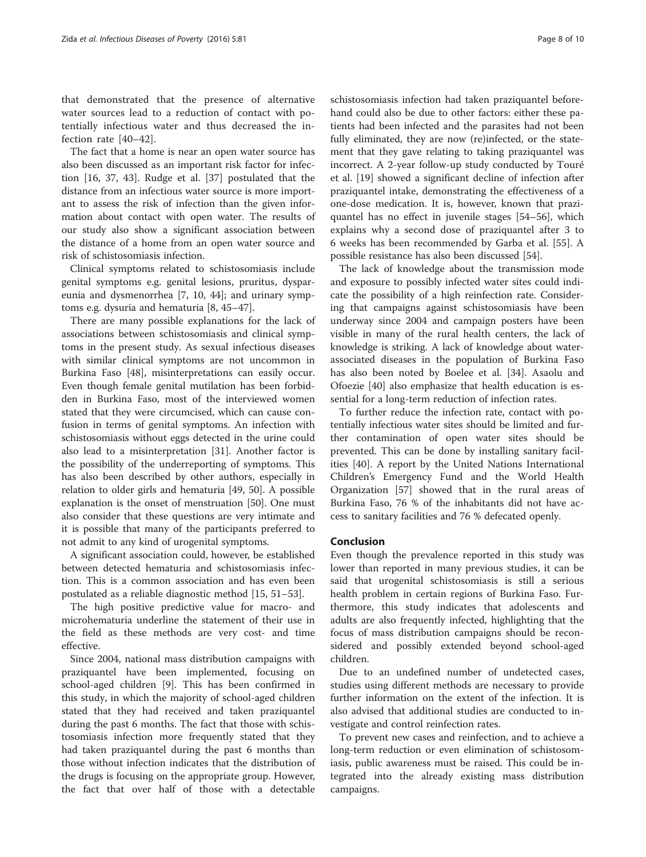that demonstrated that the presence of alternative water sources lead to a reduction of contact with potentially infectious water and thus decreased the infection rate [\[40](#page-9-0)–[42](#page-9-0)].

The fact that a home is near an open water source has also been discussed as an important risk factor for infection [[16](#page-8-0), [37](#page-9-0), [43\]](#page-9-0). Rudge et al. [[37](#page-9-0)] postulated that the distance from an infectious water source is more important to assess the risk of infection than the given information about contact with open water. The results of our study also show a significant association between the distance of a home from an open water source and risk of schistosomiasis infection.

Clinical symptoms related to schistosomiasis include genital symptoms e.g. genital lesions, pruritus, dyspareunia and dysmenorrhea [[7, 10,](#page-8-0) [44\]](#page-9-0); and urinary symptoms e.g. dysuria and hematuria [\[8,](#page-8-0) [45](#page-9-0)–[47\]](#page-9-0).

There are many possible explanations for the lack of associations between schistosomiasis and clinical symptoms in the present study. As sexual infectious diseases with similar clinical symptoms are not uncommon in Burkina Faso [[48\]](#page-9-0), misinterpretations can easily occur. Even though female genital mutilation has been forbidden in Burkina Faso, most of the interviewed women stated that they were circumcised, which can cause confusion in terms of genital symptoms. An infection with schistosomiasis without eggs detected in the urine could also lead to a misinterpretation [\[31\]](#page-8-0). Another factor is the possibility of the underreporting of symptoms. This has also been described by other authors, especially in relation to older girls and hematuria [[49, 50](#page-9-0)]. A possible explanation is the onset of menstruation [[50\]](#page-9-0). One must also consider that these questions are very intimate and it is possible that many of the participants preferred to not admit to any kind of urogenital symptoms.

A significant association could, however, be established between detected hematuria and schistosomiasis infection. This is a common association and has even been postulated as a reliable diagnostic method [[15,](#page-8-0) [51](#page-9-0)–[53](#page-9-0)].

The high positive predictive value for macro- and microhematuria underline the statement of their use in the field as these methods are very cost- and time effective.

Since 2004, national mass distribution campaigns with praziquantel have been implemented, focusing on school-aged children [[9\]](#page-8-0). This has been confirmed in this study, in which the majority of school-aged children stated that they had received and taken praziquantel during the past 6 months. The fact that those with schistosomiasis infection more frequently stated that they had taken praziquantel during the past 6 months than those without infection indicates that the distribution of the drugs is focusing on the appropriate group. However, the fact that over half of those with a detectable schistosomiasis infection had taken praziquantel beforehand could also be due to other factors: either these patients had been infected and the parasites had not been fully eliminated, they are now (re)infected, or the statement that they gave relating to taking praziquantel was incorrect. A 2-year follow-up study conducted by Touré et al. [[19\]](#page-8-0) showed a significant decline of infection after praziquantel intake, demonstrating the effectiveness of a one-dose medication. It is, however, known that praziquantel has no effect in juvenile stages [[54](#page-9-0)–[56](#page-9-0)], which explains why a second dose of praziquantel after 3 to 6 weeks has been recommended by Garba et al. [[55\]](#page-9-0). A possible resistance has also been discussed [\[54](#page-9-0)].

The lack of knowledge about the transmission mode and exposure to possibly infected water sites could indicate the possibility of a high reinfection rate. Considering that campaigns against schistosomiasis have been underway since 2004 and campaign posters have been visible in many of the rural health centers, the lack of knowledge is striking. A lack of knowledge about waterassociated diseases in the population of Burkina Faso has also been noted by Boelee et al. [[34\]](#page-9-0). Asaolu and Ofoezie [[40\]](#page-9-0) also emphasize that health education is essential for a long-term reduction of infection rates.

To further reduce the infection rate, contact with potentially infectious water sites should be limited and further contamination of open water sites should be prevented. This can be done by installing sanitary facilities [\[40](#page-9-0)]. A report by the United Nations International Children's Emergency Fund and the World Health Organization [\[57](#page-9-0)] showed that in the rural areas of Burkina Faso, 76 % of the inhabitants did not have access to sanitary facilities and 76 % defecated openly.

#### Conclusion

Even though the prevalence reported in this study was lower than reported in many previous studies, it can be said that urogenital schistosomiasis is still a serious health problem in certain regions of Burkina Faso. Furthermore, this study indicates that adolescents and adults are also frequently infected, highlighting that the focus of mass distribution campaigns should be reconsidered and possibly extended beyond school-aged children.

Due to an undefined number of undetected cases, studies using different methods are necessary to provide further information on the extent of the infection. It is also advised that additional studies are conducted to investigate and control reinfection rates.

To prevent new cases and reinfection, and to achieve a long-term reduction or even elimination of schistosomiasis, public awareness must be raised. This could be integrated into the already existing mass distribution campaigns.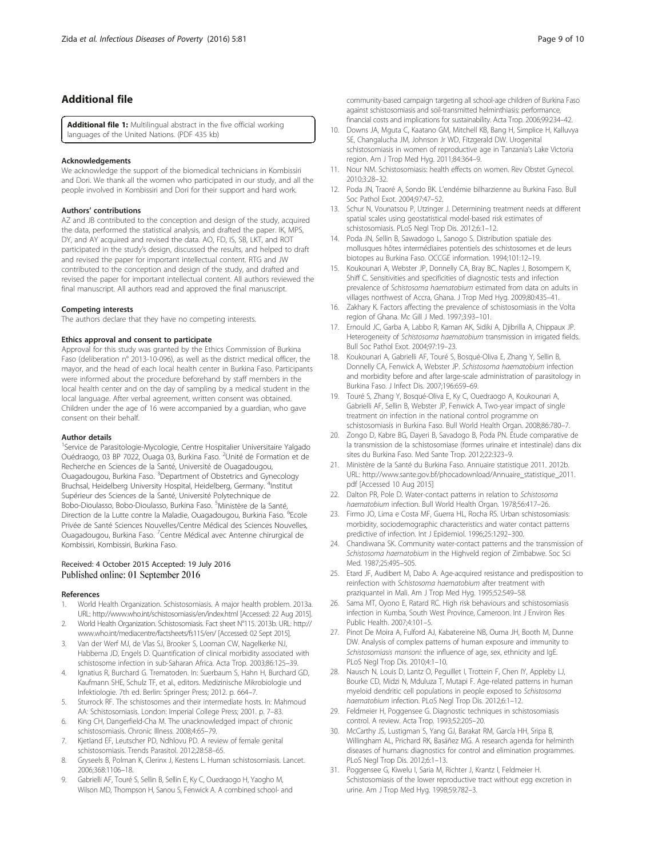## <span id="page-8-0"></span>Additional file

[Additional file 1:](dx.doi.org/10.1186/s40249-016-0174-1) Multilingual abstract in the five official working languages of the United Nations. (PDF 435 kb)

#### Acknowledgements

We acknowledge the support of the biomedical technicians in Kombissiri and Dori. We thank all the women who participated in our study, and all the people involved in Kombissiri and Dori for their support and hard work.

#### Authors' contributions

AZ and JB contributed to the conception and design of the study, acquired the data, performed the statistical analysis, and drafted the paper. IK, MPS, DY, and AY acquired and revised the data. AO, FD, IS, SB, LKT, and ROT participated in the study's design, discussed the results, and helped to draft and revised the paper for important intellectual content. RTG and JW contributed to the conception and design of the study, and drafted and revised the paper for important intellectual content. All authors reviewed the final manuscript. All authors read and approved the final manuscript.

#### Competing interests

The authors declare that they have no competing interests.

#### Ethics approval and consent to participate

Approval for this study was granted by the Ethics Commission of Burkina Faso (deliberation n° 2013-10-096), as well as the district medical officer, the mayor, and the head of each local health center in Burkina Faso. Participants were informed about the procedure beforehand by staff members in the local health center and on the day of sampling by a medical student in the local language. After verbal agreement, written consent was obtained. Children under the age of 16 were accompanied by a guardian, who gave consent on their behalf.

#### Author details

<sup>1</sup>Service de Parasitologie-Mycologie, Centre Hospitalier Universitaire Yalgado Ouédraogo, 03 BP 7022, Ouaga 03, Burkina Faso. <sup>2</sup>Unité de Formation et de Recherche en Sciences de la Santé, Université de Ouagadougou, Ouagadougou, Burkina Faso. <sup>3</sup>Department of Obstetrics and Gynecology Bruchsal, Heidelberg University Hospital, Heidelberg, Germany. <sup>4</sup>Institut Supérieur des Sciences de la Santé, Université Polytechnique de Bobo-Dioulasso, Bobo-Dioulasso, Burkina Faso. <sup>5</sup>Ministère de la Santé, Direction de la Lutte contre la Maladie, Ouagadougou, Burkina Faso. <sup>6</sup>Ecole Privée de Santé Sciences Nouvelles/Centre Médical des Sciences Nouvelles, Ouagadougou, Burkina Faso. <sup>7</sup>Centre Médical avec Antenne chirurgical de Kombissiri, Kombissiri, Burkina Faso.

#### Received: 4 October 2015 Accepted: 19 July 2016 Published online: 01 September 2016

#### References

- 1. World Health Organization. Schistosomiasis. A major health problem. 2013a. URL: http://www.who.int/schistosomiasis/en/index.html [Accessed: 22 Aug 2015].
- 2. World Health Organization. Schistosomiasis. Fact sheet N°115. 2013b. URL: [http://](http://www.who.int/mediacentre/factsheets/fs115/en/) [www.who.int/mediacentre/factsheets/fs115/en/](http://www.who.int/mediacentre/factsheets/fs115/en/) [Accessed: 02 Sept 2015]. 3. Van der Werf MJ, de Vlas SJ, Brooker S, Looman CW, Nagelkerke NJ,
- Habbema JD, Engels D. Quantification of clinical morbidity associated with schistosome infection in sub-Saharan Africa. Acta Trop. 2003;86:125–39.
- 4. Ignatius R, Burchard G. Trematoden. In: Suerbaum S, Hahn H, Burchard GD, Kaufmann SHE, Schulz TF, et al., editors. Medizinische Mikrobiologie und Infektiologie. 7th ed. Berlin: Springer Press; 2012. p. 664–7.
- Sturrock RF. The schistosomes and their intermediate hosts. In: Mahmoud AA: Schistosomiasis. London: Imperial College Press; 2001. p. 7–83.
- 6. King CH, Dangerfield-Cha M. The unacknowledged impact of chronic schistosomiasis. Chronic Illness. 2008;4:65–79.
- 7. Kjetland EF, Leutscher PD, Ndhlovu PD. A review of female genital schistosomiasis. Trends Parasitol. 2012;28:58–65.
- 8. Gryseels B, Polman K, Clerinx J, Kestens L. Human schistosomiasis. Lancet. 2006;368:1106–18.
- Gabrielli AF, Touré S, Sellin B, Sellin E, Ky C, Ouedraogo H, Yaogho M, Wilson MD, Thompson H, Sanou S, Fenwick A. A combined school- and

community-based campaign targeting all school-age children of Burkina Faso against schistosomiasis and soil-transmitted helminthiasis: performance, financial costs and implications for sustainability. Acta Trop. 2006;99:234–42.

- 10. Downs JA, Mguta C, Kaatano GM, Mitchell KB, Bang H, Simplice H, Kalluvya SE, Changalucha JM, Johnson Jr WD, Fitzgerald DW. Urogenital schistosomiasis in women of reproductive age in Tanzania's Lake Victoria region. Am J Trop Med Hyg. 2011;84:364–9.
- 11. Nour NM. Schistosomiasis: health effects on women. Rev Obstet Gynecol. 2010;3:28–32.
- 12. Poda JN, Traoré A, Sondo BK. L'endémie bilharzienne au Burkina Faso. Bull Soc Pathol Exot. 2004;97:47–52.
- 13. Schur N, Vounatsou P, Utzinger J. Determining treatment needs at different spatial scales using geostatistical model-based risk estimates of schistosomiasis. PLoS Negl Trop Dis. 2012;6:1–12.
- 14. Poda JN, Sellin B, Sawadogo L, Sanogo S. Distribution spatiale des mollusques hôtes intermédiaires potentiels des schistosomes et de leurs biotopes au Burkina Faso. OCCGE information. 1994;101:12–19.
- 15. Koukounari A, Webster JP, Donnelly CA, Bray BC, Naples J, Bosompem K, Shiff C. Sensitivities and specificities of diagnostic tests and infection prevalence of Schistosoma haematobium estimated from data on adults in villages northwest of Accra, Ghana. J Trop Med Hyg. 2009;80:435–41.
- 16. Zakhary K. Factors affecting the prevalence of schistosomiasis in the Volta region of Ghana. Mc Gill J Med. 1997;3:93–101.
- 17. Ernould JC, Garba A, Labbo R, Kaman AK, Sidiki A, Djibrilla A, Chippaux JP. Heterogeneity of Schistosoma haematobium transmission in irrigated fields. Bull Soc Pathol Exot. 2004;97:19–23.
- 18. Koukounari A, Gabrielli AF, Touré S, Bosqué-Oliva E, Zhang Y, Sellin B, Donnelly CA, Fenwick A, Webster JP. Schistosoma haematobium infection and morbidity before and after large-scale administration of parasitology in Burkina Faso. J Infect Dis. 2007;196:659–69.
- 19. Touré S, Zhang Y, Bosqué-Oliva E, Ky C, Ouedraogo A, Koukounari A, Gabrielli AF, Sellin B, Webster JP, Fenwick A. Two-year impact of single treatment on infection in the national control programme on schistosomiasis in Burkina Faso. Bull World Health Organ. 2008;86:780–7.
- 20. Zongo D, Kabre BG, Dayeri B, Savadogo B, Poda PN. Étude comparative de la transmission de la schistosomiase (formes urinaire et intestinale) dans dix sites du Burkina Faso. Med Sante Trop. 2012;22:323–9.
- 21. Ministère de la Santé du Burkina Faso. Annuaire statistique 2011. 2012b. URL: [http://www.sante.gov.bf/phocadownload/Annuaire\\_statistique\\_2011.](http://www.sante.gov.bf/phocadownload/Annuaire_statistique_2011.pdf) [pdf](http://www.sante.gov.bf/phocadownload/Annuaire_statistique_2011.pdf) [Accessed 10 Aug 2015]
- 22. Dalton PR, Pole D. Water-contact patterns in relation to Schistosoma haematobium infection. Bull World Health Organ. 1978;56:417–26.
- 23. Firmo JO, Lima e Costa MF, Guerra HL, Rocha RS. Urban schistosomiasis: morbidity, sociodemographic characteristics and water contact patterns predictive of infection. Int J Epidemiol. 1996;25:1292–300.
- 24. Chandiwana SK. Community water-contact patterns and the transmission of Schistosoma haematobium in the Highveld region of Zimbabwe. Soc Sci Med. 1987;25:495–505.
- 25. Etard JF, Audibert M, Dabo A. Age-acquired resistance and predisposition to reinfection with Schistosoma haematobium after treatment with praziquantel in Mali. Am J Trop Med Hyg. 1995;52:549–58.
- 26. Sama MT, Oyono E, Ratard RC. High risk behaviours and schistosomiasis infection in Kumba, South West Province, Cameroon. Int J Environ Res Public Health. 2007;4:101–5.
- 27. Pinot De Moira A, Fulford AJ, Kabatereine NB, Ouma JH, Booth M, Dunne DW. Analysis of complex patterns of human exposure and immunity to Schistosomiasis mansoni: the influence of age, sex, ethnicity and IgE. PLoS Negl Trop Dis. 2010;4:1–10.
- 28. Nausch N, Louis D, Lantz O, Peguillet I, Trottein F, Chen IY, Appleby LJ, Bourke CD, Midzi N, Mduluza T, Mutapi F. Age-related patterns in human myeloid dendritic cell populations in people exposed to Schistosoma haematobium infection. PLoS Negl Trop Dis. 2012;6:1–12.
- 29. Feldmeier H, Poggensee G. Diagnostic techniques in schistosomiasis control. A review. Acta Trop. 1993;52:205–20.
- 30. McCarthy JS, Lustigman S, Yang GJ, Barakat RM, García HH, Sripa B, Willingham AL, Prichard RK, Basáñez MG. A research agenda for helminth diseases of humans: diagnostics for control and elimination programmes. PLoS Negl Trop Dis. 2012;6:1–13.
- 31. Poggensee G, Kiwelu I, Saria M, Richter J, Krantz I, Feldmeier H. Schistosomiasis of the lower reproductive tract without egg excretion in urine. Am J Trop Med Hyg. 1998;59:782–3.